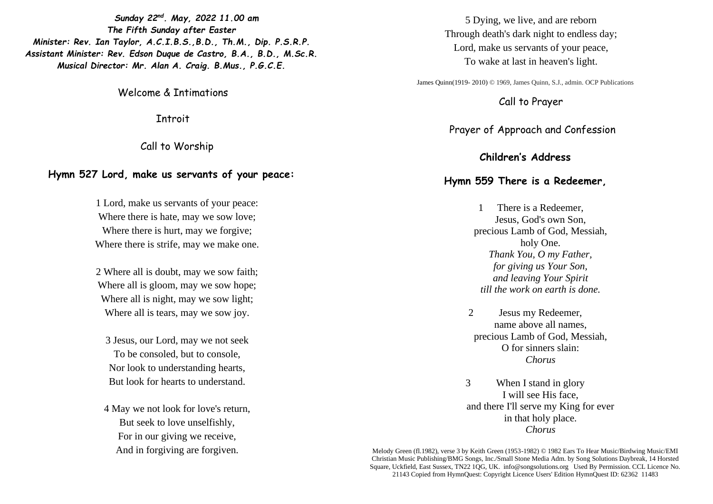*Sunday 22nd . May, 2022 11.00 am The Fifth Sunday after Easter Minister: Rev. Ian Taylor, A.C.I.B.S.,B.D., Th.M., Dip. P.S.R.P. Assistant Minister: Rev. Edson Duque de Castro, B.A., B.D., M.Sc.R. Musical Director: Mr. Alan A. Craig. B.Mus., P.G.C.E.*

Welcome & Intimations

Introit

Call to Worship

### **Hymn 527 Lord, make us servants of your peace:**

1 Lord, make us servants of your peace: Where there is hate, may we sow love; Where there is hurt, may we forgive; Where there is strife, may we make one.

2 Where all is doubt, may we sow faith; Where all is gloom, may we sow hope; Where all is night, may we sow light; Where all is tears, may we sow joy.

3 Jesus, our Lord, may we not seek To be consoled, but to console, Nor look to understanding hearts, But look for hearts to understand.

4 May we not look for love's return, But seek to love unselfishly, For in our giving we receive, And in forgiving are forgiven.

5 Dying, we live, and are reborn Through death's dark night to endless day; Lord, make us servants of your peace, To wake at last in heaven's light.

James Quinn(1919- 2010) © 1969, James Quinn, S.J., admin. OCP Publications

Call to Prayer

Prayer of Approach and Confession

## **Children's Address**

#### **Hymn 559 There is a Redeemer,**

- 1 There is a Redeemer, Jesus, God's own Son, precious Lamb of God, Messiah, holy One. *Thank You, O my Father, for giving us Your Son, and leaving Your Spirit till the work on earth is done.*
- 2 Jesus my Redeemer, name above all names, precious Lamb of God, Messiah, O for sinners slain: *Chorus*
- 3 When I stand in glory I will see His face, and there I'll serve my King for ever in that holy place. *Chorus*

Melody Green (fl.1982), verse 3 by Keith Green (1953-1982) © 1982 Ears To Hear Music/Birdwing Music/EMI Christian Music Publishing/BMG Songs, Inc./Small Stone Media Adm. by Song Solutions Daybreak, 14 Horsted Square, Uckfield, East Sussex, TN22 1QG, UK. info@songsolutions.org Used By Permission. CCL Licence No. 21143 Copied from HymnQuest: Copyright Licence Users' Edition HymnQuest ID: 62362 11483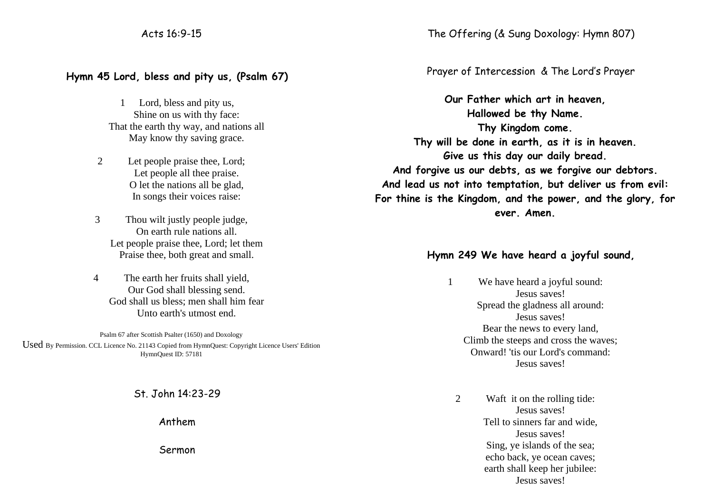Acts 16:9-15

## **Hymn 45 Lord, bless and pity us, (Psalm 67)**

1 Lord, bless and pity us, Shine on us with thy face: That the earth thy way, and nations all May know thy saving grace.

2 Let people praise thee, Lord; Let people all thee praise. O let the nations all be glad, In songs their voices raise:

3 Thou wilt justly people judge, On earth rule nations all. Let people praise thee, Lord; let them Praise thee, both great and small.

4 The earth her fruits shall yield, Our God shall blessing send. God shall us bless; men shall him fear Unto earth's utmost end.

Psalm 67 after Scottish Psalter (1650) and Doxology Used By Permission. CCL Licence No. 21143 Copied from HymnQuest: Copyright Licence Users' Edition HymnQuest ID: 57181

St. John 14:23-29

Anthem

Sermon

The Offering (& Sung Doxology: Hymn 807)

Prayer of Intercession & The Lord's Prayer

**Our Father which art in heaven, Hallowed be thy Name. Thy Kingdom come. Thy will be done in earth, as it is in heaven. Give us this day our daily bread. And forgive us our debts, as we forgive our debtors. And lead us not into temptation, but deliver us from evil: For thine is the Kingdom, and the power, and the glory, for ever. Amen.**

# **Hymn 249 We have heard a joyful sound,**

- 1 We have heard a joyful sound: Jesus saves! Spread the gladness all around: Jesus saves! Bear the news to every land, Climb the steeps and cross the waves; Onward! 'tis our Lord's command: Jesus saves!
	- 2 Waft it on the rolling tide: Jesus saves! Tell to sinners far and wide, Jesus saves! Sing, ye islands of the sea; echo back, ye ocean caves; earth shall keep her jubilee: Jesus saves!